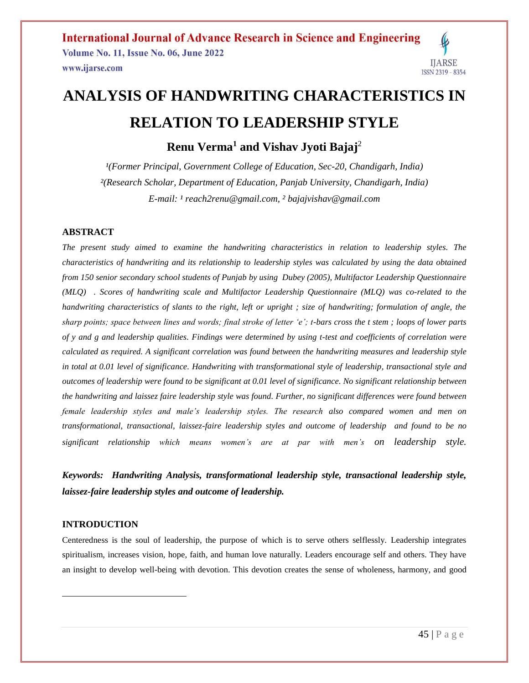# **ANALYSIS OF HANDWRITING CHARACTERISTICS IN RELATION TO LEADERSHIP STYLE**

**Renu Verma<sup>1</sup> and Vishav Jyoti Bajaj**<sup>2</sup>

<sup>1</sup>(Former Principal, Government College of Education, Sec-20, Chandigarh, India) *²(Research Scholar, Department of Education, Panjab University, Chandigarh, India) E-mail: ¹ reach2renu@gmail.com, ² [bajajvishav@gmail.com](mailto:bajajvishav@gmail.com)*

#### **ABSTRACT**

*The present study aimed to examine the handwriting characteristics in relation to leadership styles. The characteristics of handwriting and its relationship to leadership styles was calculated by using the data obtained from 150 senior secondary school students of Punjab by using Dubey (2005), Multifactor Leadership Questionnaire (MLQ) . Scores of handwriting scale and Multifactor Leadership Questionnaire (MLQ) was co-related to the handwriting characteristics of slants to the right, left or upright ; size of handwriting; formulation of angle, the sharp points; space between lines and words; final stroke of letter 'e'; t-bars cross the t stem ; loops of lower parts of y and g and leadership qualities. Findings were determined by using t-test and coefficients of correlation were calculated as required. A significant correlation was found between the handwriting measures and leadership style*  in total at 0.01 level of significance. Handwriting with transformational style of leadership, transactional style and *outcomes of leadership were found to be significant at 0.01 level of significance. No significant relationship between the handwriting and laissez faire leadership style was found. Further, no significant differences were found between female leadership styles and male's leadership styles. The research also compared women and men on transformational, transactional, laissez-faire leadership styles and outcome of leadership and found to be no significant relationship which means women's are at par with men's on leadership style.*

*Keywords: Handwriting Analysis, transformational leadership style, transactional leadership style, laissez-faire leadership styles and outcome of leadership.*

#### **INTRODUCTION**

 $\overline{a}$ 

Centeredness is the soul of leadership, the purpose of which is to serve others selflessly. Leadership integrates spiritualism, increases vision, hope, faith, and human love naturally. Leaders encourage self and others. They have an insight to develop well-being with devotion. This devotion creates the sense of wholeness, harmony, and good

**IJARSE**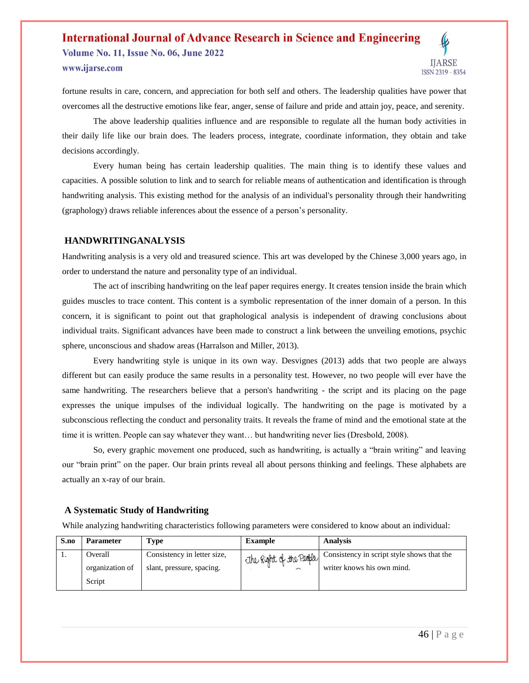## **International Journal of Advance Research in Science and Engineering Volume No. 11, Issue No. 06, June 2022** www.ijarse.com



fortune results in care, concern, and appreciation for both self and others. The leadership qualities have power that overcomes all the destructive emotions like fear, anger, sense of failure and pride and attain joy, peace, and serenity.

The above leadership qualities influence and are responsible to regulate all the human body activities in their daily life like our brain does. The leaders process, integrate, coordinate information, they obtain and take decisions accordingly.

Every human being has certain leadership qualities. The main thing is to identify these values and capacities. A possible solution to link and to search for reliable means of authentication and identification is through handwriting analysis. This existing method for the analysis of an individual's personality through their handwriting (graphology) draws reliable inferences about the essence of a person's personality.

#### **HANDWRITINGANALYSIS**

Handwriting analysis is a very old and treasured science. This art was developed by the Chinese 3,000 years ago, in order to understand the nature and personality type of an individual.

The act of inscribing handwriting on the leaf paper requires energy. It creates tension inside the brain which guides muscles to trace content. This content is a symbolic representation of the inner domain of a person. In this concern, it is significant to point out that graphological analysis is independent of drawing conclusions about individual traits. Significant advances have been made to construct a link between the unveiling emotions, psychic sphere, unconscious and shadow areas (Harralson and Miller, 2013).

Every handwriting style is unique in its own way. Desvignes (2013) adds that two people are always different but can easily produce the same results in a personality test. However, no two people will ever have the same handwriting. The researchers believe that a person's handwriting - the script and its placing on the page expresses the unique impulses of the individual logically. The handwriting on the page is motivated by a subconscious reflecting the conduct and personality traits. It reveals the frame of mind and the emotional state at the time it is written. People can say whatever they want… but handwriting never lies (Dresbold, 2008).

So, every graphic movement one produced, such as handwriting, is actually a "brain writing" and leaving our "brain print" on the paper. Our brain prints reveal all about persons thinking and feelings. These alphabets are actually an x-ray of our brain.

#### **A Systematic Study of Handwriting**

While analyzing handwriting characteristics following parameters were considered to know about an individual:

| S.no | <b>Parameter</b> | Type                        | <b>Example</b>          | <b>Analysis</b>                            |
|------|------------------|-----------------------------|-------------------------|--------------------------------------------|
|      | Overall          | Consistency in letter size, | The Right of the People | Consistency in script style shows that the |
|      | organization of  | slant, pressure, spacing.   | $\sqrt{2}$              | writer knows his own mind.                 |
|      | Script           |                             |                         |                                            |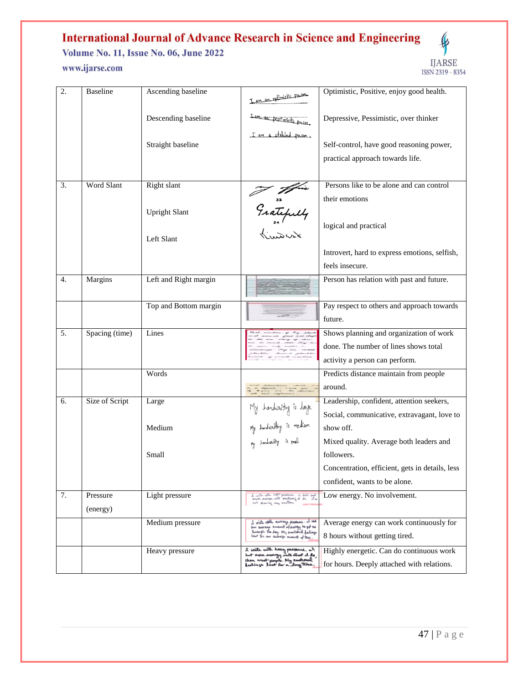**Volume No. 11, Issue No. 06, June 2022** www.ijarse.com



| 2. | <b>Baseline</b>      | Ascending baseline    | I am an eptimistic person                                                                                         | Optimistic, Positive, enjoy good health.                                     |
|----|----------------------|-----------------------|-------------------------------------------------------------------------------------------------------------------|------------------------------------------------------------------------------|
|    |                      | Descending baseline   | Iam-an pessimistic person,                                                                                        | Depressive, Pessimistic, over thinker                                        |
|    |                      | Straight baseline     | I am a stabled person,                                                                                            | Self-control, have good reasoning power,<br>practical approach towards life. |
|    |                      |                       |                                                                                                                   |                                                                              |
| 3. | Word Slant           | Right slant           |                                                                                                                   | Persons like to be alone and can control                                     |
|    |                      |                       | Fratefully                                                                                                        | their emotions                                                               |
|    |                      | <b>Upright Slant</b>  |                                                                                                                   |                                                                              |
|    |                      | Left Slant            |                                                                                                                   | logical and practical                                                        |
|    |                      |                       |                                                                                                                   | Introvert, hard to express emotions, selfish,                                |
|    |                      |                       |                                                                                                                   | feels insecure.                                                              |
| 4. | Margins              | Left and Right margin |                                                                                                                   | Person has relation with past and future.                                    |
|    |                      | Top and Bottom margin |                                                                                                                   | Pay respect to others and approach towards                                   |
|    |                      |                       |                                                                                                                   | future.                                                                      |
| 5. | Spacing (time)       | Lines                 |                                                                                                                   | Shows planning and organization of work                                      |
|    |                      |                       |                                                                                                                   | done. The number of lines shows total                                        |
|    |                      |                       |                                                                                                                   | activity a person can perform.                                               |
|    |                      | Words                 |                                                                                                                   | Predicts distance maintain from people                                       |
|    |                      |                       |                                                                                                                   | around.                                                                      |
| 6. | Size of Script       | Large                 |                                                                                                                   | Leadership, confident, attention seekers,                                    |
|    |                      |                       |                                                                                                                   | Social, communicative, extravagant, love to                                  |
|    |                      | Medium                | My handwriting is darge<br>My hondwriting is medium<br><sub>My</sub> hondwriting is small                         | show off.                                                                    |
|    |                      |                       |                                                                                                                   | Mixed quality. Average both leaders and                                      |
|    |                      | Small                 |                                                                                                                   | followers.                                                                   |
|    |                      |                       |                                                                                                                   | Concentration, efficient, gets in details, less                              |
|    |                      |                       |                                                                                                                   | confident, wants to be alone.                                                |
| 7. | Pressure<br>(energy) | Light pressure        | d with with light pressure. I don't put<br>much dranger unto anythering at also. I'm<br>not showing any envitors' | Low energy. No involvement.                                                  |
|    |                      | Medium pressure       | I write rath awares pressure. I we<br>an annange amanut of every to get ne                                        | Average energy can work continuously for                                     |
|    |                      |                       | ausuch the day My emotional futures<br>lout for our autrage amount of tene.                                       | 8 hours without getting tired.                                               |
|    |                      | Heavy pressure        | 2 write with heavy pressure. of<br>Lut more energy into what it do                                                | Highly energetic. Can do continuous work                                     |
|    |                      |                       | than most poople. My emotional<br>Leelinzs last for a long time.                                                  | for hours. Deeply attached with relations.                                   |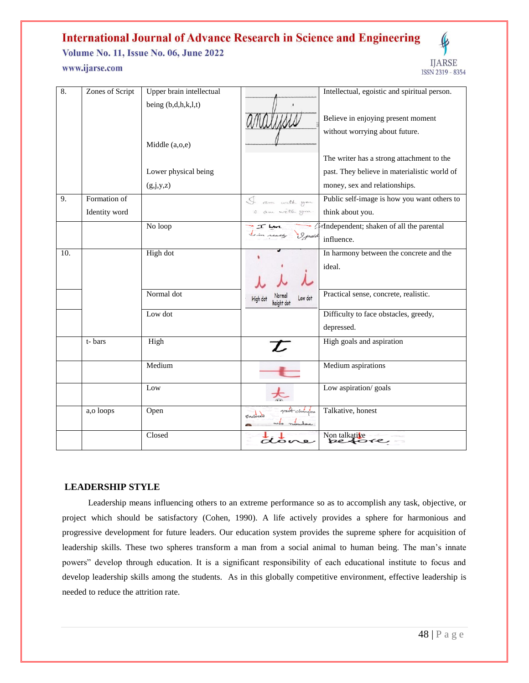Volume No. 11, Issue No. 06, June 2022 www.ijarse.com



| 8.  | Zones of Script | Upper brain intellectual |                                           | Intellectual, egoistic and spiritual person. |
|-----|-----------------|--------------------------|-------------------------------------------|----------------------------------------------|
|     |                 | being $(b,d,h,k,l,t)$    |                                           |                                              |
|     |                 |                          |                                           | Believe in enjoying present moment           |
|     |                 |                          |                                           | without worrying about future.               |
|     |                 | Middle (a,o,e)           |                                           |                                              |
|     |                 |                          |                                           | The writer has a strong attachment to the    |
|     |                 | Lower physical being     |                                           | past. They believe in materialistic world of |
|     |                 | (g,j,y,z)                |                                           | money, sex and relationships.                |
| 9.  | Formation of    |                          | I am with you                             | Public self-image is how you want others to  |
|     | Identity word   |                          | I am welk you.                            | think about you.                             |
|     |                 | No loop                  | $\pm$ $\pi$ $\mu$                         | Tindependent; shaken of all the parental     |
|     |                 |                          | im really I paid                          | influence.                                   |
| 10. |                 | High dot                 |                                           | In harmony between the concrete and the      |
|     |                 |                          |                                           | ideal.                                       |
|     |                 |                          |                                           |                                              |
|     |                 | Normal dot               | Norma<br>Low dot<br>High do<br>height dot | Practical sense, concrete, realistic.        |
|     |                 | Low dot                  |                                           | Difficulty to face obstacles, greedy,        |
|     |                 |                          |                                           | depressed.                                   |
|     | t-bars          | High                     | T                                         | High goals and aspiration                    |
|     |                 | Medium                   |                                           | Medium aspirations                           |
|     |                 | Low                      |                                           | Low aspiration/ goals                        |
|     | a,o loops       | Open                     | great changes<br>Enclosed<br>was nowhere  | Talkative, honest                            |
|     |                 | Closed                   | dov                                       | Non talkative                                |

#### **LEADERSHIP STYLE**

 Leadership means influencing others to an extreme performance so as to accomplish any task, objective, or project which should be satisfactory (Cohen, 1990). A life actively provides a sphere for harmonious and progressive development for future leaders. Our education system provides the supreme sphere for acquisition of leadership skills. These two spheres transform a man from a social animal to human being. The man's innate powers" develop through education. It is a significant responsibility of each educational institute to focus and develop leadership skills among the students. As in this globally competitive environment, effective leadership is needed to reduce the attrition rate.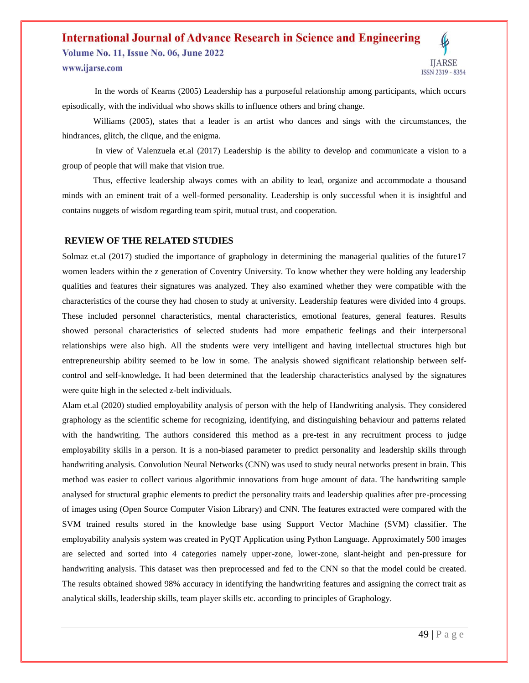**Volume No. 11, Issue No. 06, June 2022** www.ijarse.com



 In the words of Kearns (2005) Leadership has a purposeful relationship among participants, which occurs episodically, with the individual who shows skills to influence others and bring change.

Williams (2005), states that a leader is an artist who dances and sings with the circumstances, the hindrances, glitch, the clique, and the enigma.

In view of Valenzuela et.al (2017) Leadership is the ability to develop and communicate a vision to a group of people that will make that vision true.

Thus, effective leadership always comes with an ability to lead, organize and accommodate a thousand minds with an eminent trait of a well-formed personality. Leadership is only successful when it is insightful and contains nuggets of wisdom regarding team spirit, mutual trust, and cooperation.

#### **REVIEW OF THE RELATED STUDIES**

Solmaz et.al (2017) studied the importance of graphology in determining the managerial qualities of the future17 women leaders within the z generation of Coventry University. To know whether they were holding any leadership qualities and features their signatures was analyzed. They also examined whether they were compatible with the characteristics of the course they had chosen to study at university. Leadership features were divided into 4 groups. These included personnel characteristics, mental characteristics, emotional features, general features. Results showed personal characteristics of selected students had more empathetic feelings and their interpersonal relationships were also high. All the students were very intelligent and having intellectual structures high but entrepreneurship ability seemed to be low in some. The analysis showed significant relationship between selfcontrol and self-knowledge**.** It had been determined that the leadership characteristics analysed by the signatures were quite high in the selected z-belt individuals.

Alam et.al (2020) studied employability analysis of person with the help of Handwriting analysis. They considered graphology as the scientific scheme for recognizing, identifying, and distinguishing behaviour and patterns related with the handwriting. The authors considered this method as a pre-test in any recruitment process to judge employability skills in a person. It is a non-biased parameter to predict personality and leadership skills through handwriting analysis. Convolution Neural Networks (CNN) was used to study neural networks present in brain. This method was easier to collect various algorithmic innovations from huge amount of data. The handwriting sample analysed for structural graphic elements to predict the personality traits and leadership qualities after pre-processing of images using (Open Source Computer Vision Library) and CNN. The features extracted were compared with the SVM trained results stored in the knowledge base using Support Vector Machine (SVM) classifier. The employability analysis system was created in PyQT Application using Python Language. Approximately 500 images are selected and sorted into 4 categories namely upper-zone, lower-zone, slant-height and pen-pressure for handwriting analysis. This dataset was then preprocessed and fed to the CNN so that the model could be created. The results obtained showed 98% accuracy in identifying the handwriting features and assigning the correct trait as analytical skills, leadership skills, team player skills etc. according to principles of Graphology.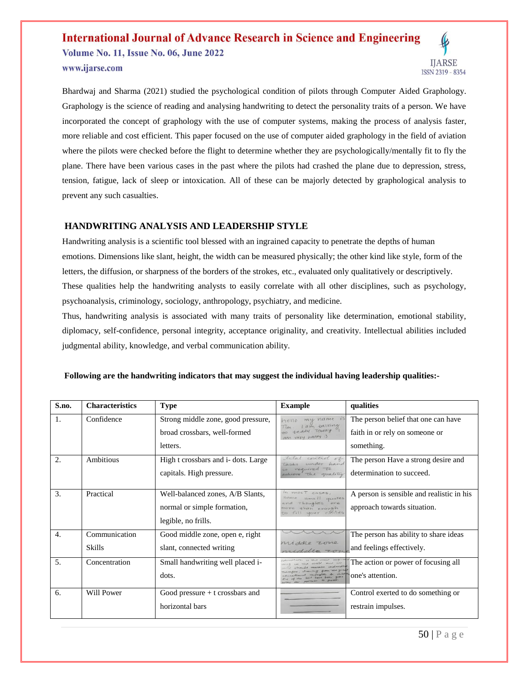## **International Journal of Advance Research in Science and Engineering Volume No. 11, Issue No. 06, June 2022**



www.ijarse.com

Bhardwaj and Sharma (2021) studied the psychological condition of pilots through Computer Aided Graphology. Graphology is the science of reading and analysing handwriting to detect the personality traits of a person. We have incorporated the concept of graphology with the use of computer systems, making the process of analysis faster, more reliable and cost efficient. This paper focused on the use of computer aided graphology in the field of aviation where the pilots were checked before the flight to determine whether they are psychologically/mentally fit to fly the plane. There have been various cases in the past where the pilots had crashed the plane due to depression, stress, tension, fatigue, lack of sleep or intoxication. All of these can be majorly detected by graphological analysis to prevent any such casualties.

#### **HANDWRITING ANALYSIS AND LEADERSHIP STYLE**

Handwriting analysis is a scientific tool blessed with an ingrained capacity to penetrate the depths of human emotions. Dimensions like slant, height, the width can be measured physically; the other kind like style, form of the letters, the diffusion, or sharpness of the borders of the strokes, etc., evaluated only qualitatively or descriptively. These qualities help the handwriting analysts to easily correlate with all other disciplines, such as psychology, psychoanalysis, criminology, sociology, anthropology, psychiatry, and medicine.

Thus, handwriting analysis is associated with many traits of personality like determination, emotional stability, diplomacy, self-confidence, personal integrity, acceptance originality, and creativity. Intellectual abilities included judgmental ability, knowledge, and verbal communication ability.

| S.no. | <b>Characteristics</b> | <b>Type</b>                        | <b>Example</b>                                                     | qualities                                 |
|-------|------------------------|------------------------------------|--------------------------------------------------------------------|-------------------------------------------|
| 1.    | Confidence             | Strong middle zone, good pressure, | my name is<br>hello                                                | The person belief that one can have       |
|       |                        | broad crossbars, well-formed       | Tim I am talking<br>am very happy :)                               | faith in or rely on someone or            |
|       |                        | letters.                           |                                                                    | something.                                |
| 2.    | Ambitious              | High t crossbars and i-dots. Large | total control of<br>tasks under hand                               | The person Have a strong desire and       |
|       |                        | capitals. High pressure.           | required to<br>activene the quality                                | determination to succeed.                 |
|       |                        |                                    |                                                                    |                                           |
| 3.    | Practical              | Well-balanced zones, A/B Slants,   | In most cases,<br>50ms<br>$small \ quotes$                         | A person is sensible and realistic in his |
|       |                        | normal or simple formation,        | thoughts are<br>than enough<br>to fill your childs                 | approach towards situation.               |
|       |                        | legible, no frills.                |                                                                    |                                           |
| 4.    | Communication          | Good middle zone, open e, right    |                                                                    | The person has ability to share ideas     |
|       | <b>Skills</b>          | slant, connected writing           | middle zone<br>middle 20th                                         | and feelings effectively.                 |
| 5.    | Concentration          | Small handwriting well placed i-   | was to the most more<br>this world and wa<br>hould vening undivide | The action or power of focusing all       |
|       |                        | dots.                              | divingtory for<br><b>PATTINGS</b>                                  | one's attention.                          |
| 6.    | <b>Will Power</b>      | Good pressure $+$ t crossbars and  |                                                                    | Control exerted to do something or        |
|       |                        | horizontal bars                    |                                                                    | restrain impulses.                        |

#### **Following are the handwriting indicators that may suggest the individual having leadership qualities:-**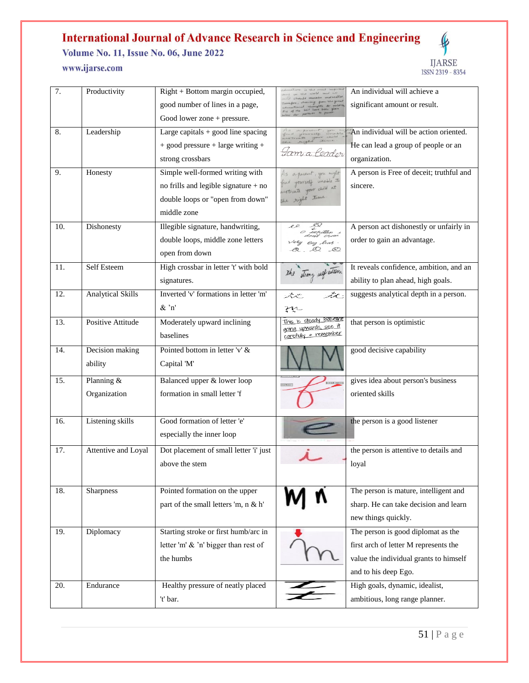**Volume No. 11, Issue No. 06, June 2022** 



## www.ijarse.com

| 7.  | Productivity             | Right + Bottom margin occupied,        |                                                         | An individual will achieve a             |
|-----|--------------------------|----------------------------------------|---------------------------------------------------------|------------------------------------------|
|     |                          | good number of lines in a page,        |                                                         | significant amount or result.            |
|     |                          | Good lower zone + pressure.            |                                                         |                                          |
| 8.  | Leadership               | Large capitals $+$ good line spacing   |                                                         | An individual will be action oriented.   |
|     |                          | + good pressure + large writing +      |                                                         | He can lead a group of people or an      |
|     |                          | strong crossbars                       | Jam a Ceador                                            | organization.                            |
| 9.  | Honesty                  | Simple well-formed writing with        | As a garent, you might                                  | A person is Free of deceit; truthful and |
|     |                          | no frills and legible signature $+$ no | ind yourself unable to<br>nestivate your child at       | sincere.                                 |
|     |                          | double loops or "open from down"       | the right time                                          |                                          |
|     |                          | middle zone                            |                                                         |                                          |
| 10. | Dishonesty               | Illegible signature, handwriting,      | $e$ e<br>o weitten                                      | A person act dishonestly or unfairly in  |
|     |                          | double loops, middle zone letters      | Very Eng Gras.                                          | order to gain an advantage.              |
|     |                          | open from down                         | $\alpha$ , $\alpha$                                     |                                          |
| 11. | Self Esteem              | High crossbar in letter 't' with bold  | the strong self esteem                                  | It reveals confidence, ambition, and an  |
|     |                          | signatures.                            |                                                         | ability to plan ahead, high goals.       |
| 12. | <b>Analytical Skills</b> | Inverted 'v' formations in letter 'm'  | út.<br>ستحريخه                                          | suggests analytical depth in a person.   |
|     |                          | $&^{\cdot}n'$                          | zņ                                                      |                                          |
| 13. | Positive Attitude        | Moderately upward inclining            | <u>This is steady Baseline</u><br>going upwards, see it | that person is optimistic                |
|     |                          | baselines                              | carefully & remember                                    |                                          |
| 14. | Decision making          | Pointed bottom in letter 'v' &         |                                                         | good decisive capability                 |
|     | ability                  | Capital 'M'                            |                                                         |                                          |
| 15. | Planning &               | Balanced upper & lower loop            |                                                         | gives idea about person's business       |
|     | Organization             | formation in small letter 'f           |                                                         | oriented skills                          |
|     |                          |                                        |                                                         |                                          |
| 16. | Listening skills         | Good formation of letter 'e'           |                                                         | the person is a good listener            |
|     |                          | especially the inner loop              |                                                         |                                          |
| 17. | Attentive and Loyal      | Dot placement of small letter 'i' just |                                                         | the person is attentive to details and   |
|     |                          | above the stem                         |                                                         | loyal                                    |
|     |                          |                                        |                                                         |                                          |
| 18. | Sharpness                | Pointed formation on the upper         |                                                         | The person is mature, intelligent and    |
|     |                          | part of the small letters 'm, n & h'   |                                                         | sharp. He can take decision and learn    |
|     |                          |                                        |                                                         | new things quickly.                      |
| 19. | Diplomacy                | Starting stroke or first humb/arc in   |                                                         | The person is good diplomat as the       |
|     |                          | letter 'm' & 'n' bigger than rest of   |                                                         | first arch of letter M represents the    |
|     |                          | the humbs                              |                                                         | value the individual grants to himself   |
|     |                          |                                        |                                                         | and to his deep Ego.                     |
| 20. | Endurance                | Healthy pressure of neatly placed      |                                                         | High goals, dynamic, idealist,           |
|     |                          | 't' bar.                               |                                                         | ambitious, long range planner.           |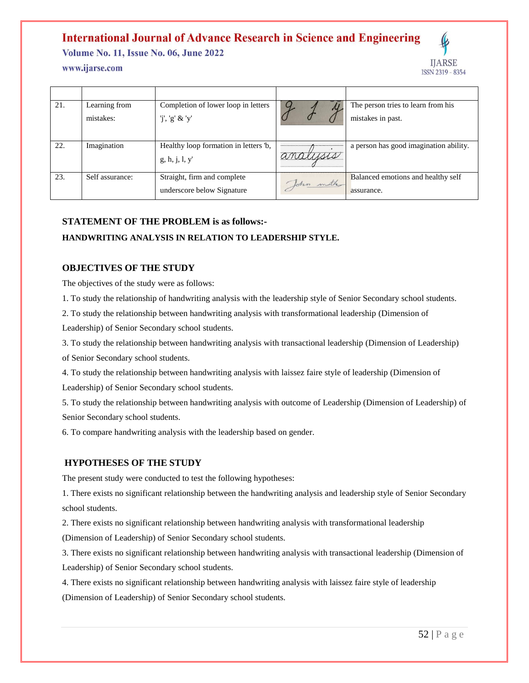**Volume No. 11, Issue No. 06, June 2022** 

#### www.ijarse.com



| 21. | Learning from   | Completion of lower loop in letters  |           | The person tries to learn from his     |
|-----|-----------------|--------------------------------------|-----------|----------------------------------------|
|     | mistakes:       | 'j', 'g' & 'y'                       |           | mistakes in past.                      |
|     |                 |                                      |           |                                        |
| 22. | Imagination     | Healthy loop formation in letters b, |           | a person has good imagination ability. |
|     |                 | g, h, j, l, y'                       | analysis  |                                        |
| 23. | Self assurance: | Straight, firm and complete          | John mith | Balanced emotions and healthy self     |
|     |                 | underscore below Signature           |           | assurance.                             |

#### **STATEMENT OF THE PROBLEM is as follows:-**

#### **HANDWRITING ANALYSIS IN RELATION TO LEADERSHIP STYLE.**

#### **OBJECTIVES OF THE STUDY**

The objectives of the study were as follows:

1. To study the relationship of handwriting analysis with the leadership style of Senior Secondary school students.

2. To study the relationship between handwriting analysis with transformational leadership (Dimension of

Leadership) of Senior Secondary school students.

3. To study the relationship between handwriting analysis with transactional leadership (Dimension of Leadership) of Senior Secondary school students.

4. To study the relationship between handwriting analysis with laissez faire style of leadership (Dimension of Leadership) of Senior Secondary school students.

5. To study the relationship between handwriting analysis with outcome of Leadership (Dimension of Leadership) of Senior Secondary school students.

6. To compare handwriting analysis with the leadership based on gender.

#### **HYPOTHESES OF THE STUDY**

The present study were conducted to test the following hypotheses:

1. There exists no significant relationship between the handwriting analysis and leadership style of Senior Secondary school students.

2. There exists no significant relationship between handwriting analysis with transformational leadership (Dimension of Leadership) of Senior Secondary school students.

3. There exists no significant relationship between handwriting analysis with transactional leadership (Dimension of Leadership) of Senior Secondary school students.

4. There exists no significant relationship between handwriting analysis with laissez faire style of leadership (Dimension of Leadership) of Senior Secondary school students.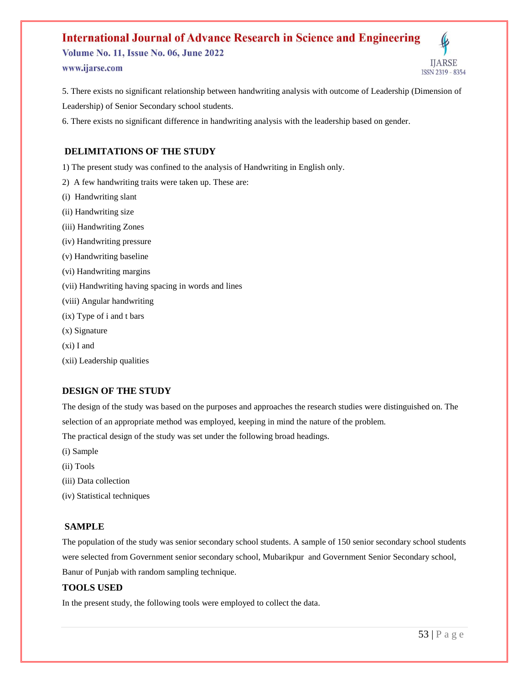**Volume No. 11, Issue No. 06, June 2022** www.ijarse.com



5. There exists no significant relationship between handwriting analysis with outcome of Leadership (Dimension of Leadership) of Senior Secondary school students.

6. There exists no significant difference in handwriting analysis with the leadership based on gender.

#### **DELIMITATIONS OF THE STUDY**

1) The present study was confined to the analysis of Handwriting in English only.

- 2) A few handwriting traits were taken up. These are:
- (i) Handwriting slant
- (ii) Handwriting size
- (iii) Handwriting Zones
- (iv) Handwriting pressure
- (v) Handwriting baseline
- (vi) Handwriting margins
- (vii) Handwriting having spacing in words and lines
- (viii) Angular handwriting
- (ix) Type of i and t bars
- (x) Signature
- (xi) I and
- (xii) Leadership qualities

#### **DESIGN OF THE STUDY**

The design of the study was based on the purposes and approaches the research studies were distinguished on. The selection of an appropriate method was employed, keeping in mind the nature of the problem.

The practical design of the study was set under the following broad headings.

- (i) Sample
- (ii) Tools
- (iii) Data collection
- (iv) Statistical techniques

#### **SAMPLE**

The population of the study was senior secondary school students. A sample of 150 senior secondary school students were selected from Government senior secondary school, Mubarikpur and Government Senior Secondary school, Banur of Punjab with random sampling technique.

#### **TOOLS USED**

In the present study, the following tools were employed to collect the data.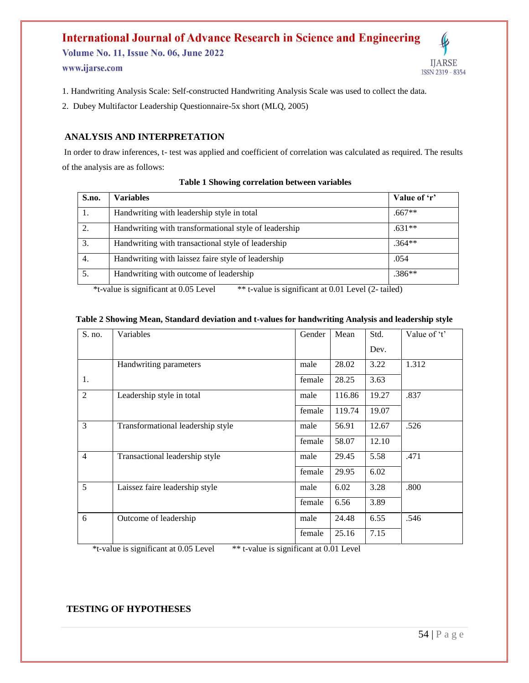Volume No. 11, Issue No. 06, June 2022 www.ijarse.com



1. Handwriting Analysis Scale: Self-constructed Handwriting Analysis Scale was used to collect the data.

2. Dubey Multifactor Leadership Questionnaire-5x short (MLQ, 2005)

#### **ANALYSIS AND INTERPRETATION**

In order to draw inferences, t- test was applied and coefficient of correlation was calculated as required. The results of the analysis are as follows:

| S.no.                                                                                        | <b>Variables</b>                                      | Value of 'r' |  |  |
|----------------------------------------------------------------------------------------------|-------------------------------------------------------|--------------|--|--|
| 1.                                                                                           | Handwriting with leadership style in total            | $.667**$     |  |  |
| 2.                                                                                           | Handwriting with transformational style of leadership | $.631**$     |  |  |
| 3.                                                                                           | Handwriting with transactional style of leadership    | $.364**$     |  |  |
| 4.                                                                                           | Handwriting with laissez faire style of leadership    | .054         |  |  |
| 5.                                                                                           | Handwriting with outcome of leadership                | $.386**$     |  |  |
| ** t-value is significant at 0.01 Level (2- tailed)<br>*t-value is significant at 0.05 Level |                                                       |              |  |  |

#### **Table 1 Showing correlation between variables**

#### **Table 2 Showing Mean, Standard deviation and t-values for handwriting Analysis and leadership style**

| S. no.         | Variables                         | Gender | Mean   | Std.  | Value of 't' |
|----------------|-----------------------------------|--------|--------|-------|--------------|
|                |                                   |        |        | Dev.  |              |
|                | Handwriting parameters            | male   | 28.02  | 3.22  | 1.312        |
| 1.             |                                   | female | 28.25  | 3.63  |              |
| 2              | Leadership style in total         | male   | 116.86 | 19.27 | .837         |
|                |                                   | female | 119.74 | 19.07 |              |
| 3              | Transformational leadership style | male   | 56.91  | 12.67 | .526         |
|                |                                   | female | 58.07  | 12.10 |              |
| $\overline{4}$ | Transactional leadership style    | male   | 29.45  | 5.58  | .471         |
|                |                                   | female | 29.95  | 6.02  |              |
| 5              | Laissez faire leadership style    | male   | 6.02   | 3.28  | .800         |
|                |                                   | female | 6.56   | 3.89  |              |
| 6              | Outcome of leadership             | male   | 24.48  | 6.55  | .546         |
|                |                                   | female | 25.16  | 7.15  |              |

\*t-value is significant at 0.05 Level \*\* t-value is significant at 0.01 Level

#### **TESTING OF HYPOTHESES**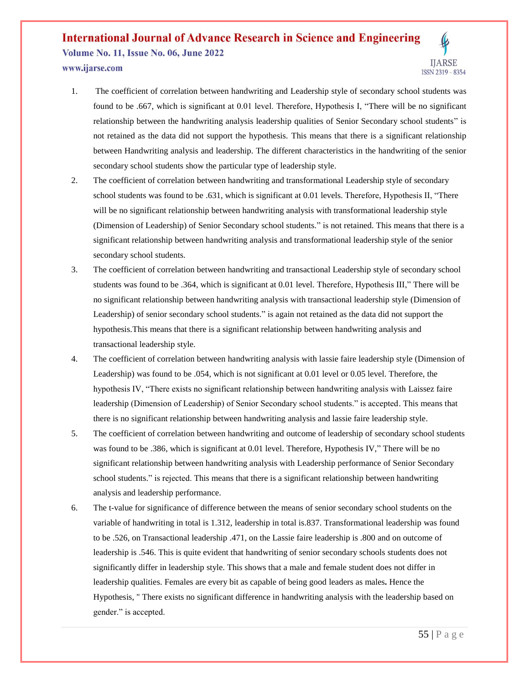**Volume No. 11, Issue No. 06, June 2022** www.ijarse.com



- 1. The coefficient of correlation between handwriting and Leadership style of secondary school students was found to be .667, which is significant at 0.01 level. Therefore, Hypothesis I, "There will be no significant relationship between the handwriting analysis leadership qualities of Senior Secondary school students" is not retained as the data did not support the hypothesis. This means that there is a significant relationship between Handwriting analysis and leadership. The different characteristics in the handwriting of the senior secondary school students show the particular type of leadership style.
- 2. The coefficient of correlation between handwriting and transformational Leadership style of secondary school students was found to be .631, which is significant at 0.01 levels. Therefore, Hypothesis II, "There will be no significant relationship between handwriting analysis with transformational leadership style (Dimension of Leadership) of Senior Secondary school students." is not retained. This means that there is a significant relationship between handwriting analysis and transformational leadership style of the senior secondary school students.
- 3. The coefficient of correlation between handwriting and transactional Leadership style of secondary school students was found to be .364, which is significant at 0.01 level. Therefore, Hypothesis III," There will be no significant relationship between handwriting analysis with transactional leadership style (Dimension of Leadership) of senior secondary school students." is again not retained as the data did not support the hypothesis.This means that there is a significant relationship between handwriting analysis and transactional leadership style.
- 4. The coefficient of correlation between handwriting analysis with lassie faire leadership style (Dimension of Leadership) was found to be .054, which is not significant at 0.01 level or 0.05 level. Therefore, the hypothesis IV, "There exists no significant relationship between handwriting analysis with Laissez faire leadership (Dimension of Leadership) of Senior Secondary school students." is accepted. This means that there is no significant relationship between handwriting analysis and lassie faire leadership style.
- 5. The coefficient of correlation between handwriting and outcome of leadership of secondary school students was found to be .386, which is significant at 0.01 level. Therefore, Hypothesis IV," There will be no significant relationship between handwriting analysis with Leadership performance of Senior Secondary school students." is rejected. This means that there is a significant relationship between handwriting analysis and leadership performance.
- 6. The t-value for significance of difference between the means of senior secondary school students on the variable of handwriting in total is 1.312, leadership in total is.837. Transformational leadership was found to be .526, on Transactional leadership .471, on the Lassie faire leadership is .800 and on outcome of leadership is .546. This is quite evident that handwriting of senior secondary schools students does not significantly differ in leadership style. This shows that a male and female student does not differ in leadership qualities. Females are every bit as capable of being good leaders as males**.** Hence the Hypothesis, " There exists no significant difference in handwriting analysis with the leadership based on gender." is accepted.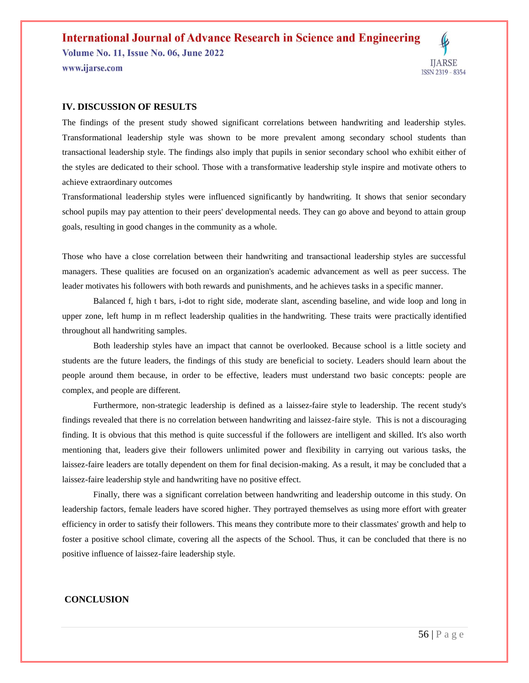**Volume No. 11, Issue No. 06, June 2022** www.ijarse.com



#### **IV. DISCUSSION OF RESULTS**

The findings of the present study showed significant correlations between handwriting and leadership styles. Transformational leadership style was shown to be more prevalent among secondary school students than transactional leadership style. The findings also imply that pupils in senior secondary school who exhibit either of the styles are dedicated to their school. Those with a transformative leadership style inspire and motivate others to achieve extraordinary outcomes

Transformational leadership styles were influenced significantly by handwriting. It shows that senior secondary school pupils may pay attention to their peers' developmental needs. They can go above and beyond to attain group goals, resulting in good changes in the community as a whole.

Those who have a close correlation between their handwriting and transactional leadership styles are successful managers. These qualities are focused on an organization's academic advancement as well as peer success. The leader motivates his followers with both rewards and punishments, and he achieves tasks in a specific manner.

Balanced f, high t bars, i-dot to right side, moderate slant, ascending baseline, and wide loop and long in upper zone, left hump in m reflect leadership qualities in the handwriting. These traits were practically identified throughout all handwriting samples.

Both leadership styles have an impact that cannot be overlooked. Because school is a little society and students are the future leaders, the findings of this study are beneficial to society. Leaders should learn about the people around them because, in order to be effective, leaders must understand two basic concepts: people are complex, and people are different.

Furthermore, non-strategic leadership is defined as a laissez-faire style to leadership. The recent study's findings revealed that there is no correlation between handwriting and laissez-faire style. This is not a discouraging finding. It is obvious that this method is quite successful if the followers are intelligent and skilled. It's also worth mentioning that, leaders give their followers unlimited power and flexibility in carrying out various tasks, the laissez-faire leaders are totally dependent on them for final decision-making. As a result, it may be concluded that a laissez-faire leadership style and handwriting have no positive effect.

Finally, there was a significant correlation between handwriting and leadership outcome in this study. On leadership factors, female leaders have scored higher. They portrayed themselves as using more effort with greater efficiency in order to satisfy their followers. This means they contribute more to their classmates' growth and help to foster a positive school climate, covering all the aspects of the School. Thus, it can be concluded that there is no positive influence of laissez-faire leadership style.

#### **CONCLUSION**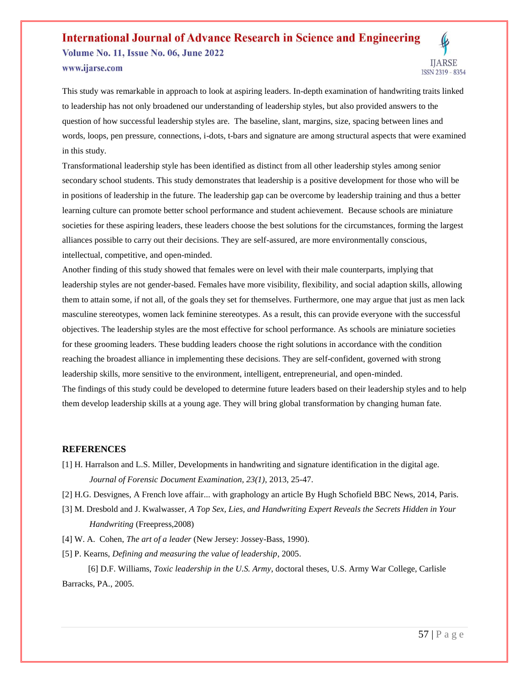**Volume No. 11, Issue No. 06, June 2022** www.ijarse.com



This study was remarkable in approach to look at aspiring leaders. In-depth examination of handwriting traits linked to leadership has not only broadened our understanding of leadership styles, but also provided answers to the question of how successful leadership styles are. The baseline, slant, margins, size, spacing between lines and words, loops, pen pressure, connections, i-dots, t-bars and signature are among structural aspects that were examined in this study.

Transformational leadership style has been identified as distinct from all other leadership styles among senior secondary school students. This study demonstrates that leadership is a positive development for those who will be in positions of leadership in the future. The leadership gap can be overcome by leadership training and thus a better learning culture can promote better school performance and student achievement. Because schools are miniature societies for these aspiring leaders, these leaders choose the best solutions for the circumstances, forming the largest alliances possible to carry out their decisions. They are self-assured, are more environmentally conscious, intellectual, competitive, and open-minded.

Another finding of this study showed that females were on level with their male counterparts, implying that leadership styles are not gender-based. Females have more visibility, flexibility, and social adaption skills, allowing them to attain some, if not all, of the goals they set for themselves. Furthermore, one may argue that just as men lack masculine stereotypes, women lack feminine stereotypes. As a result, this can provide everyone with the successful objectives. The leadership styles are the most effective for school performance. As schools are miniature societies for these grooming leaders. These budding leaders choose the right solutions in accordance with the condition reaching the broadest alliance in implementing these decisions. They are self-confident, governed with strong leadership skills, more sensitive to the environment, intelligent, entrepreneurial, and open-minded. The findings of this study could be developed to determine future leaders based on their leadership styles and to help them develop leadership skills at a young age. They will bring global transformation by changing human fate.

#### **REFERENCES**

- [1] H. Harralson and L.S. Miller, Developments in handwriting and signature identification in the digital age. *Journal of Forensic Document Examination, 23(1)*, 2013, 25-47.
- [2] H.G. Desvignes, A French love affair... with graphology an article By Hugh Schofield BBC News, 2014, Paris.
- [3] M. Dresbold and J. Kwalwasser, *A Top Sex, Lies, and Handwriting Expert Reveals the Secrets Hidden in Your Handwriting* (Freepress,2008)
- [4] W. A. Cohen, *The art of a leader* (New Jersey: Jossey-Bass, 1990).
- [5] P. Kearns, *Defining and measuring the value of leadership*, 2005.

 [6] D.F. Williams, *Toxic leadership in the U.S. Army*, doctoral theses, U.S. Army War College, Carlisle Barracks, PA., 2005.